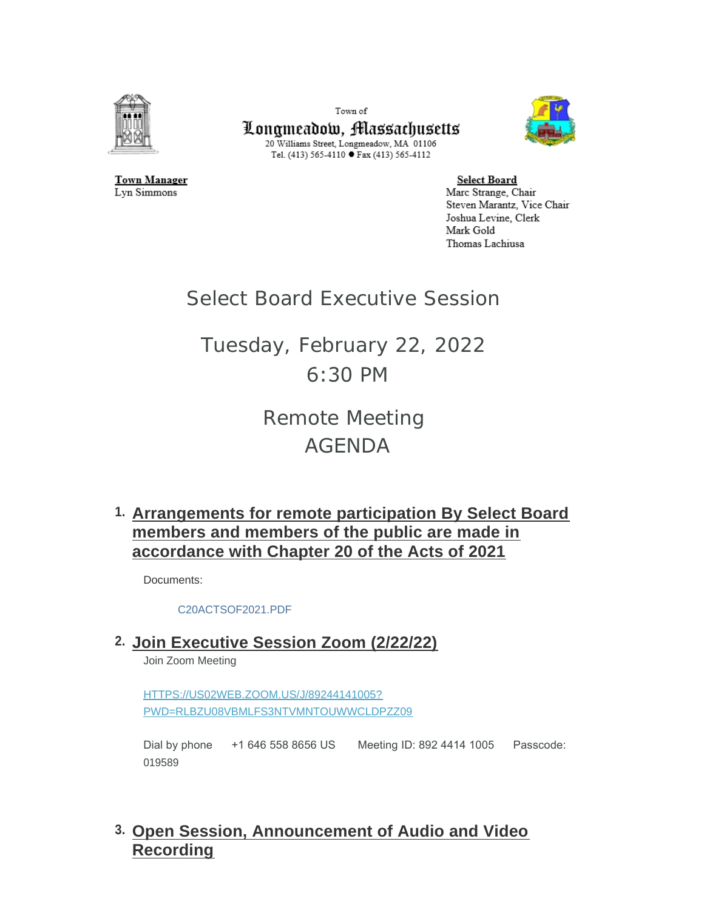

Lyn Simmons

Town of Longmeadow, Massachusetts 20 Williams Street, Longmeadow, MA 01106 Tel. (413) 565-4110 ● Fax (413) 565-4112



**Town Manager** 

**Select Board** Marc Strange, Chair Steven Marantz, Vice Chair Joshua Levine, Clerk Mark Gold Thomas Lachiusa

## Select Board Executive Session

## Tuesday, February 22, 2022 6:30 PM

Remote Meeting AGENDA

**Arrangements for remote participation By Select Board 1. members and members of the public are made in accordance with Chapter 20 of the Acts of 2021**

Documents:

[C20ACTSOF2021.PDF](https://www.longmeadow.org/AgendaCenter/ViewFile/Item/2136?fileID=21651)

**Join Executive Session Zoom (2/22/22) 2.**

Join Zoom Meeting

HTTPS://US02WEB.ZOOM.US/J/89244141005? [PWD=RLBZU08VBMLFS3NTVMNTOUWWCLDPZZ09](https://us02web.zoom.us/j/89244141005?pwd=RlBZU08vbmlFS3NtVmNTOUwwcldPZz09)

Dial by phone +1 646 558 8656 US Meeting ID: 892 4414 1005 Passcode: 019589

**Open Session, Announcement of Audio and Video 3. Recording**